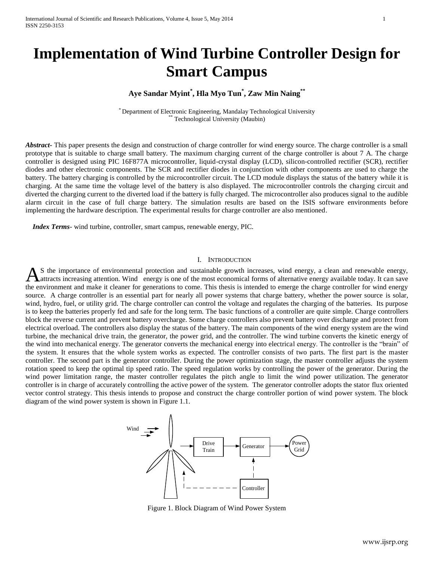# **Implementation of Wind Turbine Controller Design for Smart Campus**

# **Aye Sandar Myint\* , Hla Myo Tun\* , Zaw Min Naing\*\***

\* Department of Electronic Engineering, Mandalay Technological University Technological University (Maubin)

*Abstract* This paper presents the design and construction of charge controller for wind energy source. The charge controller is a small prototype that is suitable to charge small battery. The maximum charging current of the charge controller is about 7 A. The charge controller is designed using PIC 16F877A microcontroller, liquid-crystal display (LCD), silicon-controlled rectifier (SCR), rectifier diodes and other electronic components. The SCR and rectifier diodes in conjunction with other components are used to charge the battery. The battery charging is controlled by the microcontroller circuit. The LCD module displays the status of the battery while it is charging. At the same time the voltage level of the battery is also displayed. The microcontroller controls the charging circuit and diverted the charging current to the diverted load if the battery is fully charged. The microcontroller also produces signal to the audible alarm circuit in the case of full charge battery. The simulation results are based on the ISIS software environments before implementing the hardware description. The experimental results for charge controller are also mentioned.

 *Index Terms*- wind turbine, controller, smart campus, renewable energy, PIC.

#### I. INTRODUCTION

S the importance of environmental protection and sustainable growth increases, wind energy, a clean and renewable energy, As the importance of environmental protection and sustainable growth increases, wind energy, a clean and renewable energy, a distance energy available today. It can save the environment and make it cleaner for generations to come. This thesis is intended to emerge the charge controller for wind energy source. A charge controller is an essential part for nearly all power systems that charge battery, whether the power source is solar, wind, hydro, fuel, or utility grid. The charge controller can control the voltage and regulates the charging of the batteries. Its purpose is to keep the batteries properly fed and safe for the long term. The basic functions of a controller are quite simple. Charge controllers block the reverse current and prevent battery overcharge. Some charge controllers also prevent battery over discharge and protect from electrical overload. The controllers also display the status of the battery. The main components of the wind energy system are the wind turbine, the mechanical drive train, the generator, the power grid, and the controller. The wind turbine converts the kinetic energy of the wind into mechanical energy. The generator converts the mechanical energy into electrical energy. The controller is the "brain" of the system. It ensures that the whole system works as expected. The controller consists of two parts. The first part is the master controller. The second part is the generator controller. During the power optimization stage, the master controller adjusts the system rotation speed to keep the optimal tip speed ratio. The speed regulation works by controlling the power of the generator. During the wind power limitation range, the master controller regulates the pitch angle to limit the wind power utilization. The generator controller is in charge of accurately controlling the active power of the system. The generator controller adopts the stator flux oriented vector control strategy. This thesis intends to propose and construct the charge controller portion of wind power system. The block diagram of the wind power system is shown in Figure 1.1.



Figure 1. Block Diagram of Wind Power System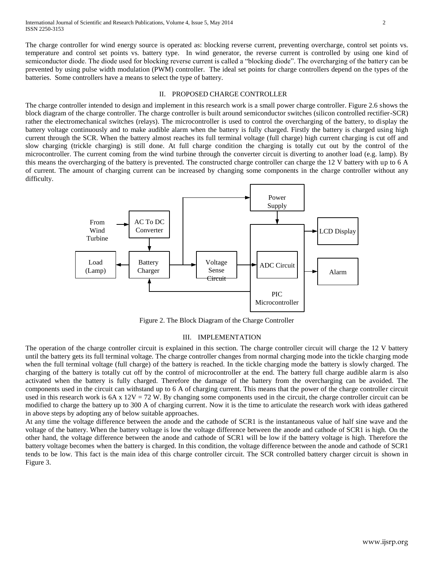The charge controller for wind energy source is operated as: blocking reverse current, preventing overcharge, control set points vs. temperature and control set points vs. battery type. In wind generator, the reverse current is controlled by using one kind of semiconductor diode. The diode used for blocking reverse current is called a "blocking diode". The overcharging of the battery can be prevented by using pulse width modulation (PWM) controller. The ideal set points for charge controllers depend on the types of the batteries. Some controllers have a means to select the type of battery.

#### II. PROPOSED CHARGE CONTROLLER

The charge controller intended to design and implement in this research work is a small power charge controller. Figure 2.6 shows the block diagram of the charge controller. The charge controller is built around semiconductor switches (silicon controlled rectifier-SCR) rather the electromechanical switches (relays). The microcontroller is used to control the overcharging of the battery, to display the battery voltage continuously and to make audible alarm when the battery is fully charged. Firstly the battery is charged using high current through the SCR. When the battery almost reaches its full terminal voltage (full charge) high current charging is cut off and slow charging (trickle charging) is still done. At full charge condition the charging is totally cut out by the control of the microcontroller. The current coming from the wind turbine through the converter circuit is diverting to another load (e.g. lamp). By this means the overcharging of the battery is prevented. The constructed charge controller can charge the 12 V battery with up to 6 A of current. The amount of charging current can be increased by changing some components in the charge controller without any difficulty.



Figure 2. The Block Diagram of the Charge Controller

#### III. IMPLEMENTATION

The operation of the charge controller circuit is explained in this section. The charge controller circuit will charge the 12 V battery until the battery gets its full terminal voltage. The charge controller changes from normal charging mode into the tickle charging mode when the full terminal voltage (full charge) of the battery is reached. In the tickle charging mode the battery is slowly charged. The charging of the battery is totally cut off by the control of microcontroller at the end. The battery full charge audible alarm is also activated when the battery is fully charged. Therefore the damage of the battery from the overcharging can be avoided. The components used in the circuit can withstand up to 6 A of charging current. This means that the power of the charge controller circuit used in this research work is  $6A \times 12V = 72$  W. By changing some components used in the circuit, the charge controller circuit can be modified to charge the battery up to 300 A of charging current. Now it is the time to articulate the research work with ideas gathered in above steps by adopting any of below suitable approaches.

At any time the voltage difference between the anode and the cathode of SCR1 is the instantaneous value of half sine wave and the voltage of the battery. When the battery voltage is low the voltage difference between the anode and cathode of SCR1 is high. On the other hand, the voltage difference between the anode and cathode of SCR1 will be low if the battery voltage is high. Therefore the battery voltage becomes when the battery is charged. In this condition, the voltage difference between the anode and cathode of SCR1 tends to be low. This fact is the main idea of this charge controller circuit. The SCR controlled battery charger circuit is shown in Figure 3.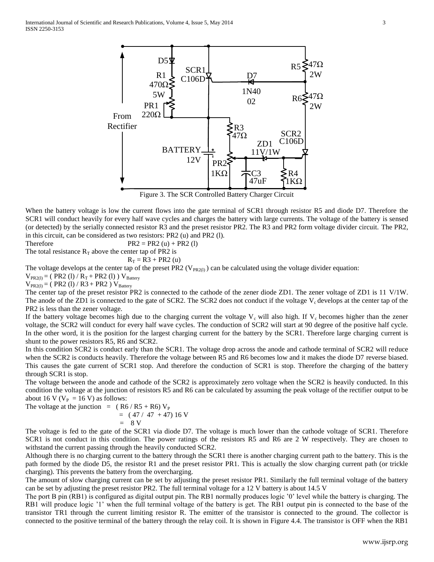

Figure 3. The SCR Controlled Battery Charger Circuit

When the battery voltage is low the current flows into the gate terminal of SCR1 through resistor R5 and diode D7. Therefore the SCR1 will conduct heavily for every half wave cycles and charges the battery with large currents. The voltage of the battery is sensed (or detected) by the serially connected resistor R3 and the preset resistor PR2. The R3 and PR2 form voltage divider circuit. The PR2, in this circuit, can be considered as two resistors: PR2 (u) and PR2 (l).

Therefore  $PR2 = PR2 (u) + PR2 (l)$ 

The total resistance  $R_T$  above the center tap of PR2 is

$$
R_T = R3 + PR2 (u)
$$

The voltage develops at the center tap of the preset PR2 ( $V_{PR2(l)}$ ) can be calculated using the voltage divider equation:

 $V_{PR2(l)} = ( PR2 (l) / R_T + PR2 (l) ) V_{Battery}$  $V_{PR2(l)} = ( PR2 (l) / R3 + PR2 ) V_{Battery}$ 

The center tap of the preset resistor PR2 is connected to the cathode of the zener diode ZD1. The zener voltage of ZD1 is 11 V/1W. The anode of the ZD1 is connected to the gate of SCR2. The SCR2 does not conduct if the voltage  $V_c$  develops at the center tap of the PR2 is less than the zener voltage.

If the battery voltage becomes high due to the charging current the voltage  $V_c$  will also high. If  $V_c$  becomes higher than the zener voltage, the SCR2 will conduct for every half wave cycles. The conduction of SCR2 will start at 90 degree of the positive half cycle. In the other word, it is the position for the largest charging current for the battery by the SCR1. Therefore large charging current is shunt to the power resistors R5, R6 and SCR2.

In this condition SCR2 is conduct early than the SCR1. The voltage drop across the anode and cathode terminal of SCR2 will reduce when the SCR2 is conducts heavily. Therefore the voltage between R5 and R6 becomes low and it makes the diode D7 reverse biased. This causes the gate current of SCR1 stop. And therefore the conduction of SCR1 is stop. Therefore the charging of the battery through SCR1 is stop.

The voltage between the anode and cathode of the SCR2 is approximately zero voltage when the SCR2 is heavily conducted. In this condition the voltage at the junction of resistors R5 and R6 can be calculated by assuming the peak voltage of the rectifier output to be about 16 V ( $V_P = 16$  V) as follows:

The voltage at the junction  $= (R6/R5 + R6) V_P$  $= (47 / 47 + 47) 16 V$  $= 8 V$ 

The voltage is fed to the gate of the SCR1 via diode D7. The voltage is much lower than the cathode voltage of SCR1. Therefore SCR1 is not conduct in this condition. The power ratings of the resistors R5 and R6 are 2 W respectively. They are chosen to withstand the current passing through the heavily conducted SCR2.

Although there is no charging current to the battery through the SCR1 there is another charging current path to the battery. This is the path formed by the diode D5, the resistor R1 and the preset resistor PR1. This is actually the slow charging current path (or trickle charging). This prevents the battery from the overcharging.

The amount of slow charging current can be set by adjusting the preset resistor PR1. Similarly the full terminal voltage of the battery can be set by adjusting the preset resistor PR2. The full terminal voltage for a 12 V battery is about 14.5 V

The port B pin (RB1) is configured as digital output pin. The RB1 normally produces logic '0' level while the battery is charging. The RB1 will produce logic '1' when the full terminal voltage of the battery is get. The RB1 output pin is connected to the base of the transistor TR1 through the current limiting resistor R. The emitter of the transistor is connected to the ground. The collector is connected to the positive terminal of the battery through the relay coil. It is shown in Figure 4.4. The transistor is OFF when the RB1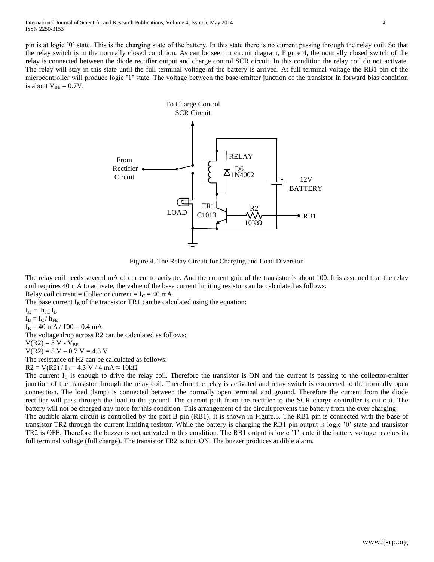pin is at logic '0' state. This is the charging state of the battery. In this state there is no current passing through the relay coil. So that the relay switch is in the normally closed condition. As can be seen in circuit diagram, Figure 4, the normally closed switch of the relay is connected between the diode rectifier output and charge control SCR circuit. In this condition the relay coil do not activate. The relay will stay in this state until the full terminal voltage of the battery is arrived. At full terminal voltage the RB1 pin of the microcontroller will produce logic '1' state. The voltage between the base-emitter junction of the transistor in forward bias condition is about  $V_{BE} = 0.7V$ .



Figure 4. The Relay Circuit for Charging and Load Diversion

The relay coil needs several mA of current to activate. And the current gain of the transistor is about 100. It is assumed that the relay coil requires 40 mA to activate, the value of the base current limiting resistor can be calculated as follows: Relay coil current = Collector current =  $I<sub>C</sub>$  = 40 mA

The base current  $I_B$  of the transistor TR1 can be calculated using the equation:

 $I_C = h_{FE} I_B$ 

 $I_B = I_C / h_{FE}$ 

 $I_B = 40$  mA /  $100 = 0.4$  mA

The voltage drop across R2 can be calculated as follows:

 $V(R2) = 5 V - V_{BE}$ 

 $V(R2) = 5 V - 0.7 V = 4.3 V$ 

The resistance of R2 can be calculated as follows:

 $R2 = V(R2) / I<sub>B</sub> = 4.3 V / 4 mA \approx 10 kΩ$ 

The current  $I_c$  is enough to drive the relay coil. Therefore the transistor is ON and the current is passing to the collector-emitter junction of the transistor through the relay coil. Therefore the relay is activated and relay switch is connected to the normally open connection. The load (lamp) is connected between the normally open terminal and ground. Therefore the current from the diode rectifier will pass through the load to the ground. The current path from the rectifier to the SCR charge controller is cut out. The battery will not be charged any more for this condition. This arrangement of the circuit prevents the battery from the over charging.

The audible alarm circuit is controlled by the port B pin (RB1). It is shown in Figure.5. The RB1 pin is connected with the base of transistor TR2 through the current limiting resistor. While the battery is charging the RB1 pin output is logic '0' state and transistor TR2 is OFF. Therefore the buzzer is not activated in this condition. The RB1 output is logic '1' state if the battery voltage reaches its full terminal voltage (full charge). The transistor TR2 is turn ON. The buzzer produces audible alarm.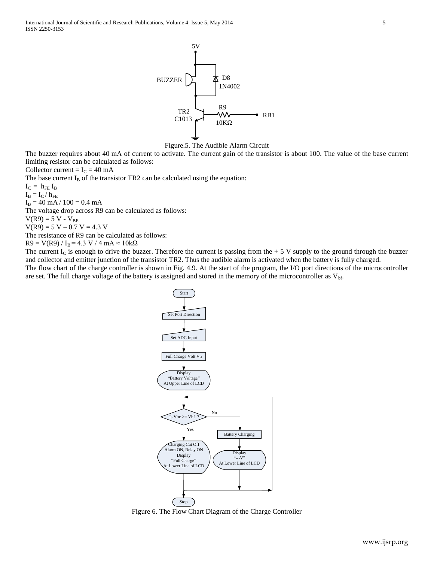D<sub>8</sub> TR2 BUZZER 5V C1013 1N4002  $-W \rightarrow RBI$ <br>10KΩ



The buzzer requires about 40 mA of current to activate. The current gain of the transistor is about 100. The value of the base current limiting resistor can be calculated as follows:

Collector current =  $I_c$  = 40 mA

The base current  $I_B$  of the transistor TR2 can be calculated using the equation:

 $I_C = h_{FE} I_B$ 

 $I_{\rm B} = I_{\rm C} / \, h_{\rm FE}$ 

 $I_B = 40$  mA /  $100 = 0.4$  mA

The voltage drop across R9 can be calculated as follows:

 $V(R9) = 5 V - V_{BE}$ 

 $V(R9) = 5 V - 0.7 V = 4.3 V$ 

The resistance of R9 can be calculated as follows:

 $R9 = V(R9) / I_B = 4.3 V / 4 mA \approx 10 k\Omega$ 

The current  $I_c$  is enough to drive the buzzer. Therefore the current is passing from the  $+ 5$  V supply to the ground through the buzzer and collector and emitter junction of the transistor TR2. Thus the audible alarm is activated when the battery is fully charged.

The flow chart of the charge controller is shown in Fig. 4.9. At the start of the program, the I/O port directions of the microcontroller are set. The full charge voltage of the battery is assigned and stored in the memory of the microcontroller as  $V_{\text{bf}}$ .



Figure 6. The Flow Chart Diagram of the Charge Controller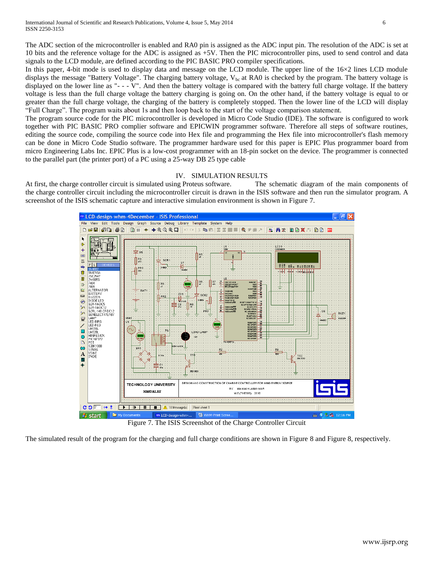The ADC section of the microcontroller is enabled and RA0 pin is assigned as the ADC input pin. The resolution of the ADC is set at 10 bits and the reference voltage for the ADC is assigned as +5V. Then the PIC microcontroller pins, used to send control and data signals to the LCD module, are defined according to the PIC BASIC PRO compiler specifications.

In this paper, 4-bit mode is used to display data and message on the LCD module. The upper line of the 16×2 lines LCD module displays the message "Battery Voltage". The charging battery voltage,  $V_{bc}$  at RA0 is checked by the program. The battery voltage is displayed on the lower line as "- - - V". And then the battery voltage is compared with the battery full charge voltage. If the battery voltage is less than the full charge voltage the battery charging is going on. On the other hand, if the battery voltage is equal to or greater than the full charge voltage, the charging of the battery is completely stopped. Then the lower line of the LCD will display "Full Charge". The program waits about 1s and then loop back to the start of the voltage comparison statement.

The program source code for the PIC microcontroller is developed in Micro Code Studio (IDE). The software is configured to work together with PIC BASIC PRO complier software and EPICWIN programmer software. Therefore all steps of software routines, editing the source code, compiling the source code into Hex file and programming the Hex file into microcontroller's flash memory can be done in Micro Code Studio software. The programmer hardware used for this paper is EPIC Plus programmer board from micro Engineering Labs Inc. EPIC Plus is a low-cost programmer with an 18-pin socket on the device. The programmer is connected to the parallel part (the printer port) of a PC using a 25-way DB 25 type cable

## IV. SIMULATION RESULTS

At first, the charge controller circuit is simulated using Proteus software. The schematic diagram of the main components of the charge controller circuit including the microcontroller circuit is drawn in the ISIS software and then run the simulator program. A screenshot of the ISIS schematic capture and interactive simulation environment is shown in Figure 7.



Figure 7. The ISIS Screenshot of the Charge Controller Circuit

The simulated result of the program for the charging and full charge conditions are shown in Figure 8 and Figure 8, respectively.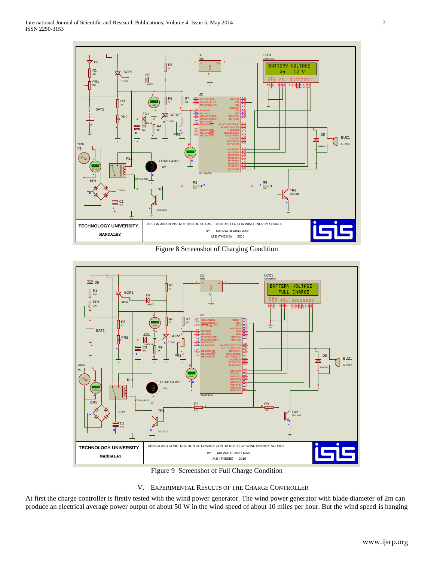

Figure 8 Screenshot of Charging Condition



- Figure 9 Screenshot of Full Charge Condition
- V. EXPERIMENTAL RESULTS OF THE CHARGE CONTROLLER

At first the charge controller is firstly tested with the wind power generator. The wind power generator with blade diameter of 2m can produce an electrical average power output of about 50 W in the wind speed of about 10 miles per hour. But the wind speed is hanging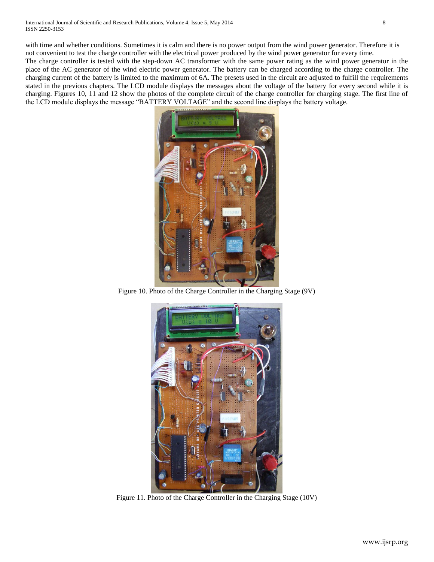with time and whether conditions. Sometimes it is calm and there is no power output from the wind power generator. Therefore it is not convenient to test the charge controller with the electrical power produced by the wind power generator for every time.

The charge controller is tested with the step-down AC transformer with the same power rating as the wind power generator in the place of the AC generator of the wind electric power generator. The battery can be charged according to the charge controller. The charging current of the battery is limited to the maximum of 6A. The presets used in the circuit are adjusted to fulfill the requirements stated in the previous chapters. The LCD module displays the messages about the voltage of the battery for every second while it is charging. Figures 10, 11 and 12 show the photos of the complete circuit of the charge controller for charging stage. The first line of the LCD module displays the message "BATTERY VOLTAGE" and the second line displays the battery voltage.



Figure 10. Photo of the Charge Controller in the Charging Stage (9V)



Figure 11. Photo of the Charge Controller in the Charging Stage (10V)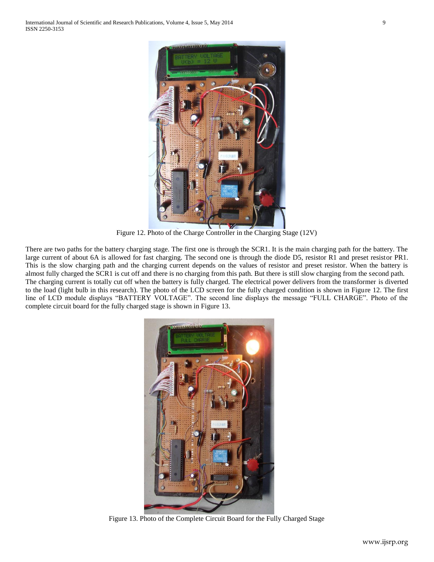

Figure 12. Photo of the Charge Controller in the Charging Stage (12V)

There are two paths for the battery charging stage. The first one is through the SCR1. It is the main charging path for the battery. The large current of about 6A is allowed for fast charging. The second one is through the diode D5, resistor R1 and preset resistor PR1. This is the slow charging path and the charging current depends on the values of resistor and preset resistor. When the battery is almost fully charged the SCR1 is cut off and there is no charging from this path. But there is still slow charging from the second path. The charging current is totally cut off when the battery is fully charged. The electrical power delivers from the transformer is diverted to the load (light bulb in this research). The photo of the LCD screen for the fully charged condition is shown in Figure 12. The first line of LCD module displays "BATTERY VOLTAGE". The second line displays the message "FULL CHARGE". Photo of the complete circuit board for the fully charged stage is shown in Figure 13.



Figure 13. Photo of the Complete Circuit Board for the Fully Charged Stage